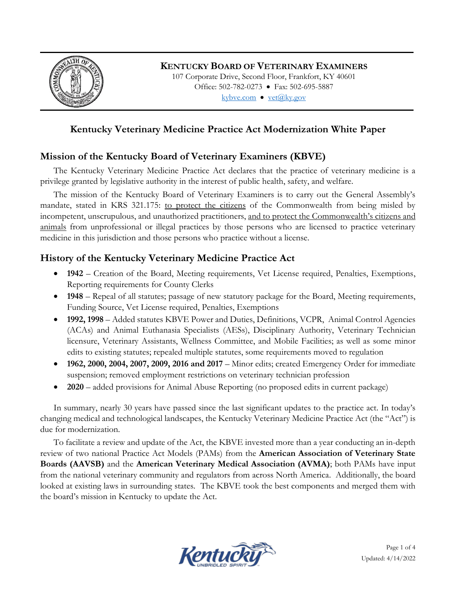

### **KENTUCKY BOARD OF VETERINARY EXAMINERS**

107 Corporate Drive, Second Floor, Frankfort, KY 40601 Office: 502-782-0273 • Fax: 502-695-5887 kybve.com  $\bullet$  vet $(\partial_k ky.gov)$ 

# **Kentucky Veterinary Medicine Practice Act Modernization White Paper**

## **Mission of the Kentucky Board of Veterinary Examiners (KBVE)**

The Kentucky Veterinary Medicine Practice Act declares that the practice of veterinary medicine is a privilege granted by legislative authority in the interest of public health, safety, and welfare.

The mission of the Kentucky Board of Veterinary Examiners is to carry out the General Assembly's mandate, stated in KRS 321.175: to protect the citizens of the Commonwealth from being misled by incompetent, unscrupulous, and unauthorized practitioners, and to protect the Commonwealth's citizens and animals from unprofessional or illegal practices by those persons who are licensed to practice veterinary medicine in this jurisdiction and those persons who practice without a license.

## **History of the Kentucky Veterinary Medicine Practice Act**

- **1942** Creation of the Board, Meeting requirements, Vet License required, Penalties, Exemptions, Reporting requirements for County Clerks
- **1948**  Repeal of all statutes; passage of new statutory package for the Board, Meeting requirements, Funding Source, Vet License required, Penalties, Exemptions
- **1992, 1998**  Added statutes KBVE Power and Duties, Definitions, VCPR, Animal Control Agencies (ACAs) and Animal Euthanasia Specialists (AESs), Disciplinary Authority, Veterinary Technician licensure, Veterinary Assistants, Wellness Committee, and Mobile Facilities; as well as some minor edits to existing statutes; repealed multiple statutes, some requirements moved to regulation
- **1962, 2000, 2004, 2007, 2009, 2016 and 2017** Minor edits; created Emergency Order for immediate suspension; removed employment restrictions on veterinary technician profession
- **2020** added provisions for Animal Abuse Reporting (no proposed edits in current package)

In summary, nearly 30 years have passed since the last significant updates to the practice act. In today's changing medical and technological landscapes, the Kentucky Veterinary Medicine Practice Act (the "Act") is due for modernization.

To facilitate a review and update of the Act, the KBVE invested more than a year conducting an in-depth review of two national Practice Act Models (PAMs) from the **American Association of Veterinary State Boards (AAVSB)** and the **American Veterinary Medical Association (AVMA)**; both PAMs have input from the national veterinary community and regulators from across North America. Additionally, the board looked at existing laws in surrounding states. The KBVE took the best components and merged them with the board's mission in Kentucky to update the Act.

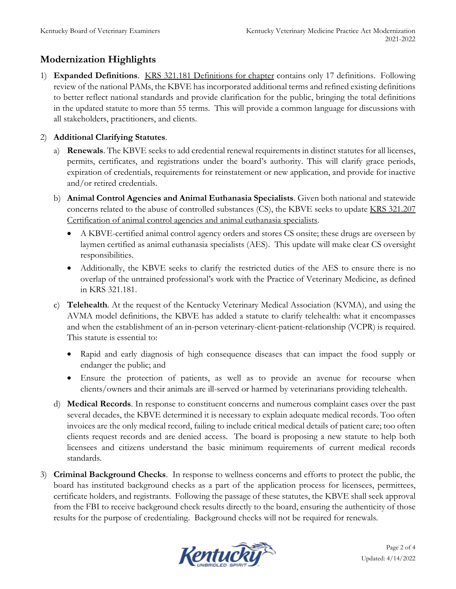# **Modernization Highlights**

1) **Expanded Definitions**. KRS 321.181 Definitions for chapter contains only 17 definitions. Following review of the national PAMs, the KBVE has incorporated additional terms and refined existing definitions to better reflect national standards and provide clarification for the public, bringing the total definitions in the updated statute to more than 55 terms. This will provide a common language for discussions with all stakeholders, practitioners, and clients.

#### 2) **Additional Clarifying Statutes**.

- a) **Renewals**. The KBVE seeks to add credential renewal requirements in distinct statutes for all licenses, permits, certificates, and registrations under the board's authority. This will clarify grace periods, expiration of credentials, requirements for reinstatement or new application, and provide for inactive and/or retired credentials.
- b) **Animal Control Agencies and Animal Euthanasia Specialists**. Given both national and statewide concerns related to the abuse of controlled substances (CS), the KBVE seeks to update KRS 321.207 Certification of animal control agencies and animal euthanasia specialists.
	- A KBVE-certified animal control agency orders and stores CS onsite; these drugs are overseen by laymen certified as animal euthanasia specialists (AES). This update will make clear CS oversight responsibilities.
	- Additionally, the KBVE seeks to clarify the restricted duties of the AES to ensure there is no overlap of the untrained professional's work with the Practice of Veterinary Medicine, as defined in KRS 321.181.
- c) **Telehealth**. At the request of the Kentucky Veterinary Medical Association (KVMA), and using the AVMA model definitions, the KBVE has added a statute to clarify telehealth: what it encompasses and when the establishment of an in-person veterinary-client-patient-relationship (VCPR) is required. This statute is essential to:
	- Rapid and early diagnosis of high consequence diseases that can impact the food supply or endanger the public; and
	- Ensure the protection of patients, as well as to provide an avenue for recourse when clients/owners and their animals are ill-served or harmed by veterinarians providing telehealth.
- d) **Medical Records**. In response to constituent concerns and numerous complaint cases over the past several decades, the KBVE determined it is necessary to explain adequate medical records. Too often invoices are the only medical record, failing to include critical medical details of patient care; too often clients request records and are denied access. The board is proposing a new statute to help both licensees and citizens understand the basic minimum requirements of current medical records standards.
- 3) **Criminal Background Checks**. In response to wellness concerns and efforts to protect the public, the board has instituted background checks as a part of the application process for licensees, permittees, certificate holders, and registrants. Following the passage of these statutes, the KBVE shall seek approval from the FBI to receive background check results directly to the board, ensuring the authenticity of those results for the purpose of credentialing. Background checks will not be required for renewals.

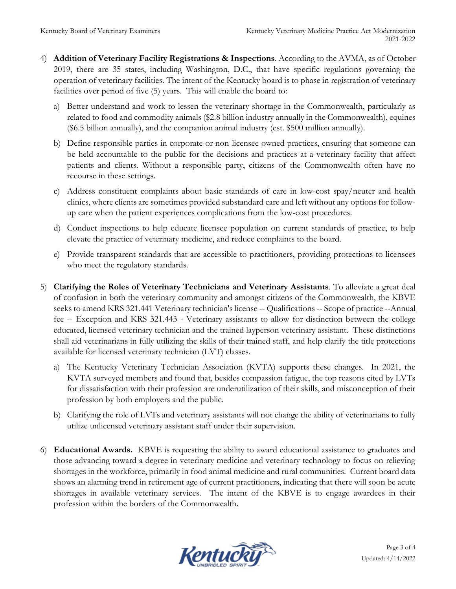- 4) **Addition of Veterinary Facility Registrations & Inspections**. According to the AVMA, as of October 2019, there are 35 states, including Washington, D.C., that have specific regulations governing the operation of veterinary facilities. The intent of the Kentucky board is to phase in registration of veterinary facilities over period of five (5) years. This will enable the board to:
	- a) Better understand and work to lessen the veterinary shortage in the Commonwealth, particularly as related to food and commodity animals (\$2.8 billion industry annually in the Commonwealth), equines (\$6.5 billion annually), and the companion animal industry (est. \$500 million annually).
	- b) Define responsible parties in corporate or non-licensee owned practices, ensuring that someone can be held accountable to the public for the decisions and practices at a veterinary facility that affect patients and clients. Without a responsible party, citizens of the Commonwealth often have no recourse in these settings.
	- c) Address constituent complaints about basic standards of care in low-cost spay/neuter and health clinics, where clients are sometimes provided substandard care and left without any options for followup care when the patient experiences complications from the low-cost procedures.
	- d) Conduct inspections to help educate licensee population on current standards of practice, to help elevate the practice of veterinary medicine, and reduce complaints to the board.
	- e) Provide transparent standards that are accessible to practitioners, providing protections to licensees who meet the regulatory standards.
- 5) **Clarifying the Roles of Veterinary Technicians and Veterinary Assistants**. To alleviate a great deal of confusion in both the veterinary community and amongst citizens of the Commonwealth, the KBVE seeks to amend KRS 321.441 Veterinary technician's license -- Qualifications -- Scope of practice --Annual fee -- Exception and KRS 321.443 - Veterinary assistants to allow for distinction between the college educated, licensed veterinary technician and the trained layperson veterinary assistant. These distinctions shall aid veterinarians in fully utilizing the skills of their trained staff, and help clarify the title protections available for licensed veterinary technician (LVT) classes.
	- a) The Kentucky Veterinary Technician Association (KVTA) supports these changes. In 2021, the KVTA surveyed members and found that, besides compassion fatigue, the top reasons cited by LVTs for dissatisfaction with their profession are underutilization of their skills, and misconception of their profession by both employers and the public.
	- b) Clarifying the role of LVTs and veterinary assistants will not change the ability of veterinarians to fully utilize unlicensed veterinary assistant staff under their supervision.
- 6) **Educational Awards.** KBVE is requesting the ability to award educational assistance to graduates and those advancing toward a degree in veterinary medicine and veterinary technology to focus on relieving shortages in the workforce, primarily in food animal medicine and rural communities. Current board data shows an alarming trend in retirement age of current practitioners, indicating that there will soon be acute shortages in available veterinary services. The intent of the KBVE is to engage awardees in their profession within the borders of the Commonwealth.